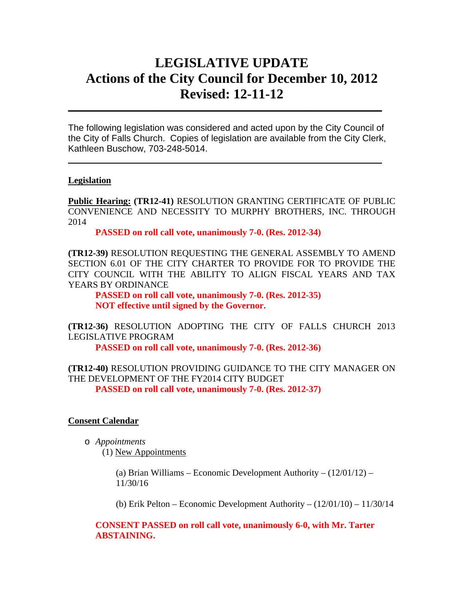# **LEGISLATIVE UPDATE Actions of the City Council for December 10, 2012 Revised: 12-11-12**

The following legislation was considered and acted upon by the City Council of the City of Falls Church. Copies of legislation are available from the City Clerk, Kathleen Buschow, 703-248-5014.

 $\_$ 

 $\mathcal{L}_\text{max} = \mathcal{L}_\text{max} = \mathcal{L}_\text{max} = \mathcal{L}_\text{max} = \mathcal{L}_\text{max} = \mathcal{L}_\text{max} = \mathcal{L}_\text{max} = \mathcal{L}_\text{max} = \mathcal{L}_\text{max} = \mathcal{L}_\text{max} = \mathcal{L}_\text{max} = \mathcal{L}_\text{max} = \mathcal{L}_\text{max} = \mathcal{L}_\text{max} = \mathcal{L}_\text{max} = \mathcal{L}_\text{max} = \mathcal{L}_\text{max} = \mathcal{L}_\text{max} = \mathcal{$ 

### **Legislation**

**Public Hearing: (TR12-41)** RESOLUTION GRANTING CERTIFICATE OF PUBLIC CONVENIENCE AND NECESSITY TO MURPHY BROTHERS, INC. THROUGH 2014

**PASSED on roll call vote, unanimously 7-0. (Res. 2012-34)** 

**(TR12-39)** RESOLUTION REQUESTING THE GENERAL ASSEMBLY TO AMEND SECTION 6.01 OF THE CITY CHARTER TO PROVIDE FOR TO PROVIDE THE CITY COUNCIL WITH THE ABILITY TO ALIGN FISCAL YEARS AND TAX YEARS BY ORDINANCE

**PASSED on roll call vote, unanimously 7-0. (Res. 2012-35) NOT effective until signed by the Governor.** 

**(TR12-36)** RESOLUTION ADOPTING THE CITY OF FALLS CHURCH 2013 LEGISLATIVE PROGRAM

**PASSED on roll call vote, unanimously 7-0. (Res. 2012-36)** 

**(TR12-40)** RESOLUTION PROVIDING GUIDANCE TO THE CITY MANAGER ON THE DEVELOPMENT OF THE FY2014 CITY BUDGET **PASSED on roll call vote, unanimously 7-0. (Res. 2012-37)** 

### **Consent Calendar**

o *Appointments* 

(1) New Appointments

(a) Brian Williams – Economic Development Authority –  $(12/01/12)$  – 11/30/16

(b) Erik Pelton – Economic Development Authority –  $(12/01/10)$  –  $11/30/14$ 

**CONSENT PASSED on roll call vote, unanimously 6-0, with Mr. Tarter ABSTAINING.**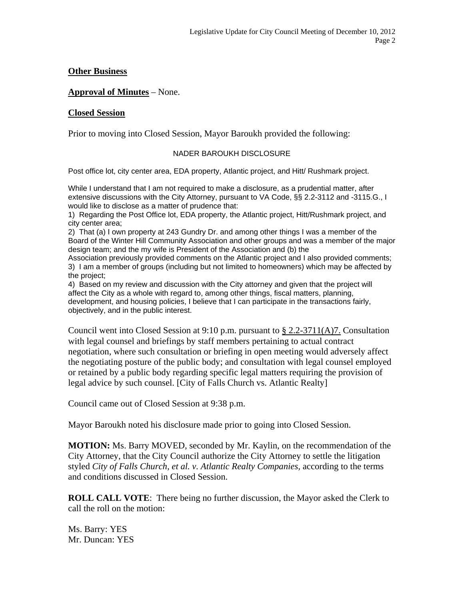## **Other Business**

### **Approval of Minutes** – None.

#### **Closed Session**

Prior to moving into Closed Session, Mayor Baroukh provided the following:

#### NADER BAROUKH DISCLOSURE

Post office lot, city center area, EDA property, Atlantic project, and Hitt/ Rushmark project.

While I understand that I am not required to make a disclosure, as a prudential matter, after extensive discussions with the City Attorney, pursuant to VA Code, §§ 2.2-3112 and -3115.G., I would like to disclose as a matter of prudence that:

1) Regarding the Post Office lot, EDA property, the Atlantic project, Hitt/Rushmark project, and city center area;

2) That (a) I own property at 243 Gundry Dr. and among other things I was a member of the Board of the Winter Hill Community Association and other groups and was a member of the major design team; and the my wife is President of the Association and (b) the

Association previously provided comments on the Atlantic project and I also provided comments; 3) I am a member of groups (including but not limited to homeowners) which may be affected by the project;

4) Based on my review and discussion with the City attorney and given that the project will affect the City as a whole with regard to, among other things, fiscal matters, planning, development, and housing policies, I believe that I can participate in the transactions fairly, objectively, and in the public interest.

Council went into Closed Session at  $9:10$  p.m. pursuant to  $\S 2.2-3711(A)7$ . Consultation with legal counsel and briefings by staff members pertaining to actual contract negotiation, where such consultation or briefing in open meeting would adversely affect the negotiating posture of the public body; and consultation with legal counsel employed or retained by a public body regarding specific legal matters requiring the provision of legal advice by such counsel. [City of Falls Church vs. Atlantic Realty]

Council came out of Closed Session at 9:38 p.m.

Mayor Baroukh noted his disclosure made prior to going into Closed Session.

**MOTION:** Ms. Barry MOVED, seconded by Mr. Kaylin, on the recommendation of the City Attorney, that the City Council authorize the City Attorney to settle the litigation styled *City of Falls Church, et al. v. Atlantic Realty Companies,* according to the terms and conditions discussed in Closed Session.

**ROLL CALL VOTE**: There being no further discussion, the Mayor asked the Clerk to call the roll on the motion:

Ms. Barry: YES Mr. Duncan: YES